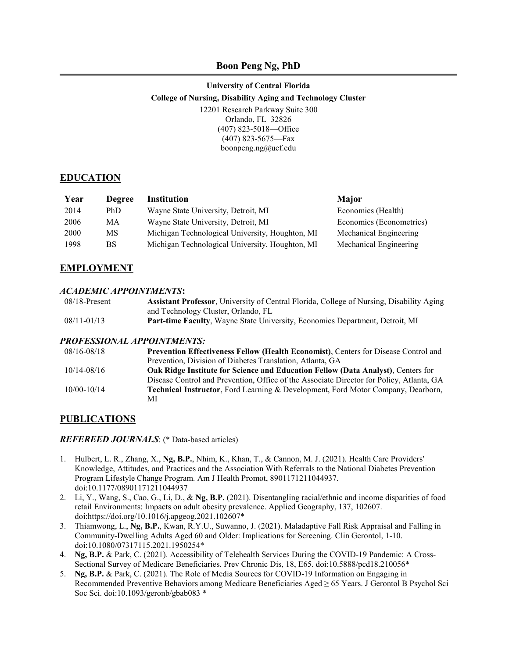### **Boon Peng Ng, PhD**

### **University of Central Florida College of Nursing, Disability Aging and Technology Cluster** 12201 Research Parkway Suite 300 Orlando, FL 32826 (407) 823-5018—Office (407) 823-5675—Fax boonpeng.ng@ucf.edu

### **EDUCATION**

| Year | <b>Degree</b> | Institution                                     | Major                    |
|------|---------------|-------------------------------------------------|--------------------------|
| 2014 | PhD.          | Wayne State University, Detroit, MI             | Economics (Health)       |
| 2006 | MА            | Wayne State University, Detroit, MI             | Economics (Econometrics) |
| 2000 | MS.           | Michigan Technological University, Houghton, MI | Mechanical Engineering   |
| 1998 | BS.           | Michigan Technological University, Houghton, MI | Mechanical Engineering   |

### **EMPLOYMENT**

#### *ACADEMIC APPOINTMENTS***:**

| $08/18$ -Present | Assistant Professor, University of Central Florida, College of Nursing, Disability Aging |
|------------------|------------------------------------------------------------------------------------------|
|                  | and Technology Cluster, Orlando, FL                                                      |
| 08/11-01/13      | <b>Part-time Faculty, Wayne State University, Economics Department, Detroit, MI</b>      |

#### *PROFESSIONAL APPOINTMENTS:*

| 08/16-08/18     | <b>Prevention Effectiveness Fellow (Health Economist), Centers for Disease Control and</b>  |
|-----------------|---------------------------------------------------------------------------------------------|
|                 | Prevention, Division of Diabetes Translation, Atlanta, GA                                   |
| 10/14-08/16     | <b>Oak Ridge Institute for Science and Education Fellow (Data Analyst).</b> Centers for     |
|                 | Disease Control and Prevention, Office of the Associate Director for Policy, Atlanta, GA    |
| $10/00 - 10/14$ | <b>Technical Instructor, Ford Learning &amp; Development, Ford Motor Company, Dearborn,</b> |
|                 | МI                                                                                          |

#### **PUBLICATIONS**

#### *REFEREED JOURNALS*: (\* Data-based articles)

- 1. Hulbert, L. R., Zhang, X., **Ng, B.P.**, Nhim, K., Khan, T., & Cannon, M. J. (2021). Health Care Providers' Knowledge, Attitudes, and Practices and the Association With Referrals to the National Diabetes Prevention Program Lifestyle Change Program. Am J Health Promot, 8901171211044937. doi:10.1177/08901171211044937
- 2. Li, Y., Wang, S., Cao, G., Li, D., & **Ng, B.P.** (2021). Disentangling racial/ethnic and income disparities of food retail Environments: Impacts on adult obesity prevalence. Applied Geography, 137, 102607. doi:https://doi.org/10.1016/j.apgeog.2021.102607\*
- 3. Thiamwong, L., **Ng, B.P.**, Kwan, R.Y.U., Suwanno, J. (2021). Maladaptive Fall Risk Appraisal and Falling in Community-Dwelling Adults Aged 60 and Older: Implications for Screening. Clin Gerontol, 1-10. doi:10.1080/07317115.2021.1950254\*
- 4. **Ng, B.P.** & Park, C. (2021). Accessibility of Telehealth Services During the COVID-19 Pandemic: A Cross-Sectional Survey of Medicare Beneficiaries. Prev Chronic Dis, 18, E65. doi:10.5888/pcd18.210056\*
- 5. **Ng, B.P.** & Park, C. (2021). The Role of Media Sources for COVID-19 Information on Engaging in Recommended Preventive Behaviors among Medicare Beneficiaries Aged ≥ 65 Years. J Gerontol B Psychol Sci Soc Sci. doi:10.1093/geronb/gbab083 \*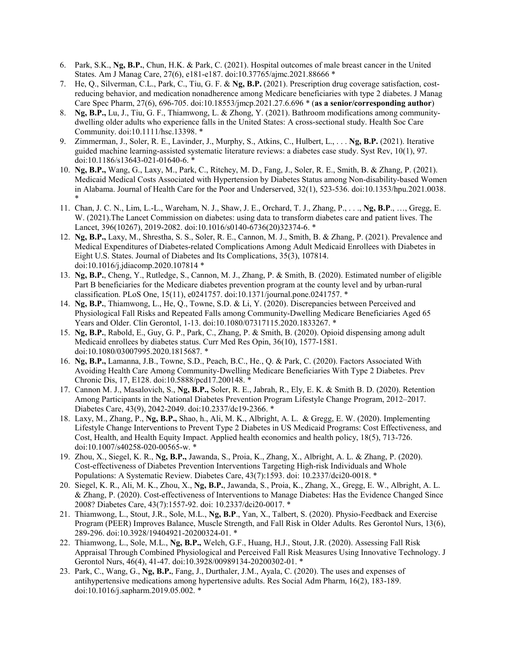- 6. Park, S.K., **Ng, B.P.**, Chun, H.K. & Park, C. (2021). Hospital outcomes of male breast cancer in the United States. Am J Manag Care, 27(6), e181-e187. doi:10.37765/ajmc.2021.88666 \*
- 7. He, Q., Silverman, C.L., Park, C., Tiu, G. F. & **Ng, B.P.** (2021). Prescription drug coverage satisfaction, costreducing behavior, and medication nonadherence among Medicare beneficiaries with type 2 diabetes. J Manag Care Spec Pharm, 27(6), 696-705. doi:10.18553/jmcp.2021.27.6.696 \* (**as a senior/corresponding author**)
- 8. **Ng, B.P.,** Lu, J., Tiu, G. F., Thiamwong, L. & Zhong, Y. (2021). Bathroom modifications among communitydwelling older adults who experience falls in the United States: A cross-sectional study. Health Soc Care Community. doi:10.1111/hsc.13398. \*
- 9. Zimmerman, J., Soler, R. E., Lavinder, J., Murphy, S., Atkins, C., Hulbert, L., . . . **Ng, B.P.** (2021). Iterative guided machine learning-assisted systematic literature reviews: a diabetes case study. Syst Rev, 10(1), 97. doi:10.1186/s13643-021-01640-6. \*
- 10. **Ng, B.P.,** Wang, G., Laxy, M., Park, C., Ritchey, M. D., Fang, J., Soler, R. E., Smith, B. & Zhang, P. (2021). Medicaid Medical Costs Associated with Hypertension by Diabetes Status among Non-disability-based Women in Alabama. Journal of Health Care for the Poor and Underserved, 32(1), 523-536. doi:10.1353/hpu.2021.0038. \*
- 11. Chan, J. C. N., Lim, L.-L., Wareham, N. J., Shaw, J. E., Orchard, T. J., Zhang, P., . . ., **Ng, B.P**., …, Gregg, E. W. (2021).The Lancet Commission on diabetes: using data to transform diabetes care and patient lives. The Lancet, 396(10267), 2019-2082. doi:10.1016/s0140-6736(20)32374-6. \*
- 12. **Ng, B.P.,** Laxy, M., Shrestha, S. S., Soler, R. E., Cannon, M. J., Smith, B. & Zhang, P. (2021). Prevalence and Medical Expenditures of Diabetes-related Complications Among Adult Medicaid Enrollees with Diabetes in Eight U.S. States. Journal of Diabetes and Its Complications, 35(3), 107814. doi:10.1016/j.jdiacomp.2020.107814 \*
- 13. **Ng, B.P.**, Cheng, Y., Rutledge, S., Cannon, M. J., Zhang, P. & Smith, B. (2020). Estimated number of eligible Part B beneficiaries for the Medicare diabetes prevention program at the county level and by urban-rural classification. PLoS One, 15(11), e0241757. doi:10.1371/journal.pone.0241757. \*
- 14. **Ng, B.P.**, Thiamwong, L., He, Q., Towne, S.D. & Li, Y. (2020). Discrepancies between Perceived and Physiological Fall Risks and Repeated Falls among Community-Dwelling Medicare Beneficiaries Aged 65 Years and Older. Clin Gerontol, 1-13. doi:10.1080/07317115.2020.1833267. \*
- 15. **Ng, B.P.**, Rabold, E., Guy, G. P., Park, C., Zhang, P. & Smith, B. (2020). Opioid dispensing among adult Medicaid enrollees by diabetes status. Curr Med Res Opin, 36(10), 1577-1581. doi:10.1080/03007995.2020.1815687. \*
- 16. **Ng, B.P.,** Lamanna, J.B., Towne, S.D., Peach, B.C., He., Q. & Park, C. (2020). Factors Associated With Avoiding Health Care Among Community-Dwelling Medicare Beneficiaries With Type 2 Diabetes. Prev Chronic Dis, 17, E128. doi:10.5888/pcd17.200148. \*
- 17. Cannon M. J., Masalovich, S., **Ng, B.P.,** Soler, R. E., Jabrah, R., Ely, E. K. & Smith B. D. (2020). Retention Among Participants in the National Diabetes Prevention Program Lifestyle Change Program, 2012–2017. Diabetes Care, 43(9), 2042-2049. doi:10.2337/dc19-2366. \*
- 18. Laxy, M., Zhang, P., **Ng, B.P.,** Shao, h., Ali, M. K., Albright, A. L. & Gregg, E. W. (2020). Implementing Lifestyle Change Interventions to Prevent Type 2 Diabetes in US Medicaid Programs: Cost Effectiveness, and Cost, Health, and Health Equity Impact. Applied health economics and health policy, 18(5), 713-726. doi:10.1007/s40258-020-00565-w. \*
- 19. Zhou, X., Siegel, K. R., **Ng, B.P.,** Jawanda, S., Proia, K., Zhang, X., Albright, A. L. & Zhang, P. (2020). Cost-effectiveness of Diabetes Prevention Interventions Targeting High-risk Individuals and Whole Populations: A Systematic Review. Diabetes Care, 43(7):1593. doi: 10.2337/dci20-0018. \*
- 20. Siegel, K. R., Ali, M. K., Zhou, X., **Ng, B.P.**, Jawanda, S., Proia, K., Zhang, X., Gregg, E. W., Albright, A. L. & Zhang, P. (2020). Cost-effectiveness of Interventions to Manage Diabetes: Has the Evidence Changed Since 2008? Diabetes Care, 43(7):1557-92. doi: 10.2337/dci20-0017. \*
- 21. Thiamwong, L., Stout, J.R., Sole, M.L., **Ng, B.P**., Yan, X., Talbert, S. (2020). Physio-Feedback and Exercise Program (PEER) Improves Balance, Muscle Strength, and Fall Risk in Older Adults. Res Gerontol Nurs, 13(6), 289-296. doi:10.3928/19404921-20200324-01. \*
- 22. Thiamwong, L., Sole, M.L., **Ng, B.P.,** Welch, G.F., Huang, H.J., Stout, J.R. (2020). Assessing Fall Risk Appraisal Through Combined Physiological and Perceived Fall Risk Measures Using Innovative Technology. J Gerontol Nurs, 46(4), 41-47. doi:10.3928/00989134-20200302-01. \*
- 23. Park, C., Wang, G., **Ng, B.P.**, Fang, J., Durthaler, J.M., Ayala, C. (2020). The uses and expenses of antihypertensive medications among hypertensive adults. Res Social Adm Pharm, 16(2), 183-189. doi:10.1016/j.sapharm.2019.05.002. \*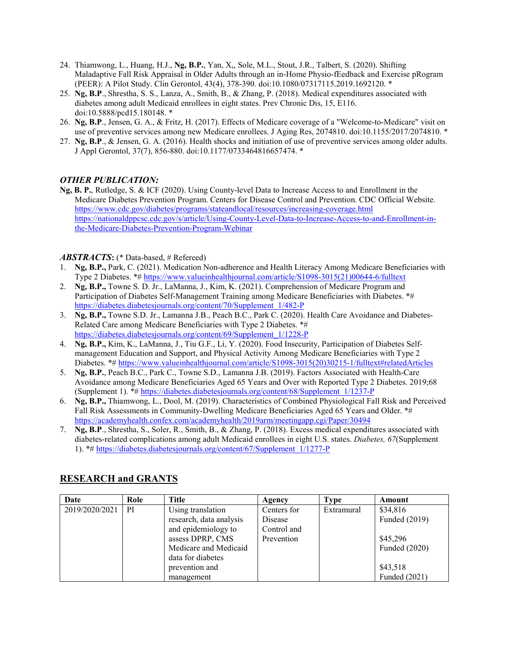- 24. Thiamwong, L., Huang, H.J., **Ng, B.P.**, Yan, X,, Sole, M.L., Stout, J.R., Talbert, S. (2020). Shifting Maladaptive Fall Risk Appraisal in Older Adults through an in-Home Physio-fEedback and Exercise pRogram (PEER): A Pilot Study. Clin Gerontol, 43(4), 378-390. doi:10.1080/07317115.2019.1692120. \*
- 25. **Ng, B.P**., Shrestha, S. S., Lanza, A., Smith, B., & Zhang, P. (2018). Medical expenditures associated with diabetes among adult Medicaid enrollees in eight states. Prev Chronic Dis, 15, E116. doi:10.5888/pcd15.180148. \*
- 26. **Ng, B.P**., Jensen, G. A., & Fritz, H. (2017). Effects of Medicare coverage of a "Welcome-to-Medicare" visit on use of preventive services among new Medicare enrollees. J Aging Res, 2074810. doi:10.1155/2017/2074810. \*
- 27. **Ng, B.P**., & Jensen, G. A. (2016). Health shocks and initiation of use of preventive services among older adults. J Appl Gerontol, 37(7), 856-880. doi:10.1177/0733464816657474. \*

## *OTHER PUBLICATION:*

**Ng, B. P.**, Rutledge, S. & ICF (2020). Using County-level Data to Increase Access to and Enrollment in the Medicare Diabetes Prevention Program. Centers for Disease Control and Prevention. CDC Official Website. <https://www.cdc.gov/diabetes/programs/stateandlocal/resources/increasing-coverage.html> [https://nationaldppcsc.cdc.gov/s/article/Using-County-Level-Data-to-Increase-Access-to-and-Enrollment-in](https://nationaldppcsc.cdc.gov/s/article/Using-County-Level-Data-to-Increase-Access-to-and-Enrollment-in-the-Medicare-Diabetes-Prevention-Program-Webinar)[the-Medicare-Diabetes-Prevention-Program-Webinar](https://nationaldppcsc.cdc.gov/s/article/Using-County-Level-Data-to-Increase-Access-to-and-Enrollment-in-the-Medicare-Diabetes-Prevention-Program-Webinar)

#### *ABSTRACTS***:** (\* Data-based, # Refereed)

- 1. **Ng, B.P.,** Park, C. (2021). Medication Non-adherence and Health Literacy Among Medicare Beneficiaries with Type 2 Diabetes. \*# [https://www.valueinhealthjournal.com/article/S1098-3015\(21\)00644-6/fulltext](https://www.valueinhealthjournal.com/article/S1098-3015(21)00644-6/fulltext)
- 2. **Ng, B.P.,** Towne S. D. Jr., LaManna, J., Kim, K. (2021). Comprehension of Medicare Program and Participation of Diabetes Self-Management Training among Medicare Beneficiaries with Diabetes. \*# [https://diabetes.diabetesjournals.org/content/70/Supplement\\_1/482-P](https://diabetes.diabetesjournals.org/content/70/Supplement_1/482-P)
- 3. **Ng, B.P.,** Towne S.D. Jr., Lamanna J.B., Peach B.C., Park C. (2020). Health Care Avoidance and Diabetes-Related Care among Medicare Beneficiaries with Type 2 Diabetes. \*# [https://diabetes.diabetesjournals.org/content/69/Supplement\\_1/1228-P](https://diabetes.diabetesjournals.org/content/69/Supplement_1/1228-P)
- 4. **Ng, B.P.,** Kim, K., LaManna, J., Tiu G.F., Li, Y. (2020). Food Insecurity, Participation of Diabetes Selfmanagement Education and Support, and Physical Activity Among Medicare Beneficiaries with Type 2 Diabetes. \*# [https://www.valueinhealthjournal.com/article/S1098-3015\(20\)30215-1/fulltext#relatedArticles](https://www.valueinhealthjournal.com/article/S1098-3015(20)30215-1/fulltext#relatedArticles)
- 5. **Ng, B.P.**, Peach B.C., Park C., Towne S.D., Lamanna J.B. (2019). Factors Associated with Health-Care Avoidance among Medicare Beneficiaries Aged 65 Years and Over with Reported Type 2 Diabetes. 2019;68 (Supplement 1). \*# [https://diabetes.diabetesjournals.org/content/68/Supplement\\_1/1237-P](https://diabetes.diabetesjournals.org/content/68/Supplement_1/1237-P)
- 6. **Ng, B.P.,** Thiamwong, L., Dool, M. (2019). Characteristics of Combined Physiological Fall Risk and Perceived Fall Risk Assessments in Community-Dwelling Medicare Beneficiaries Aged 65 Years and Older. \*# <https://academyhealth.confex.com/academyhealth/2019arm/meetingapp.cgi/Paper/30494>
- 7. **Ng, B.P**., Shrestha, S., Soler, R., Smith, B., & Zhang, P. (2018). Excess medical expenditures associated with diabetes-related complications among adult Medicaid enrollees in eight U.S. states. *Diabetes, 67*(Supplement 1). \*# [https://diabetes.diabetesjournals.org/content/67/Supplement\\_1/1277-P](https://diabetes.diabetesjournals.org/content/67/Supplement_1/1277-P)

| Date           | Role          | <b>Title</b>            | Agency      | Type       | Amount        |
|----------------|---------------|-------------------------|-------------|------------|---------------|
| 2019/2020/2021 | <sub>PI</sub> | Using translation       | Centers for | Extramural | \$34,816      |
|                |               | research, data analysis | Disease     |            | Funded (2019) |
|                |               | and epidemiology to     | Control and |            |               |
|                |               | assess DPRP, CMS        | Prevention  |            | \$45,296      |
|                |               | Medicare and Medicaid   |             |            | Funded (2020) |
|                |               | data for diabetes       |             |            |               |
|                |               | prevention and          |             |            | \$43,518      |
|                |               | management              |             |            | Funded (2021) |

## **RESEARCH and GRANTS**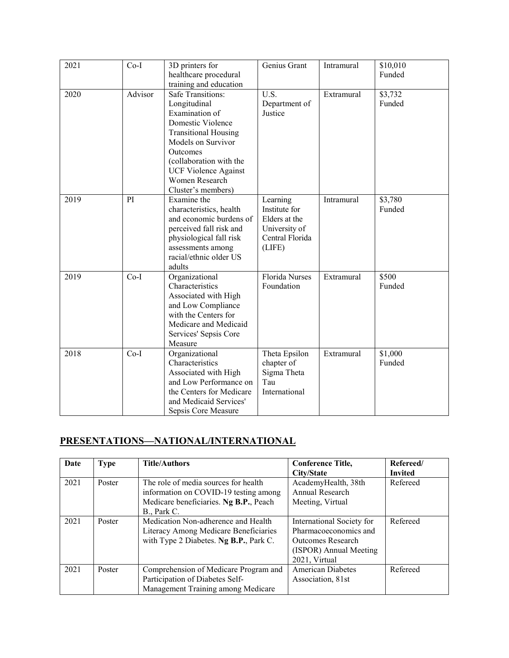| 2021 | $Co-I$  | 3D printers for<br>healthcare procedural<br>training and education                                                                                                                                                                                 | Genius Grant                                                                             | Intramural | \$10,010<br>Funded |
|------|---------|----------------------------------------------------------------------------------------------------------------------------------------------------------------------------------------------------------------------------------------------------|------------------------------------------------------------------------------------------|------------|--------------------|
| 2020 | Advisor | <b>Safe Transitions:</b><br>Longitudinal<br>Examination of<br>Domestic Violence<br><b>Transitional Housing</b><br>Models on Survivor<br>Outcomes<br>(collaboration with the<br><b>UCF Violence Against</b><br>Women Research<br>Cluster's members) | U.S.<br>Department of<br>Justice                                                         | Extramural | \$3,732<br>Funded  |
| 2019 | PI      | Examine the<br>characteristics, health<br>and economic burdens of<br>perceived fall risk and<br>physiological fall risk<br>assessments among<br>racial/ethnic older US<br>adults                                                                   | Learning<br>Institute for<br>Elders at the<br>University of<br>Central Florida<br>(LIFE) | Intramural | \$3,780<br>Funded  |
| 2019 | $Co-I$  | Organizational<br>Characteristics<br>Associated with High<br>and Low Compliance<br>with the Centers for<br>Medicare and Medicaid<br>Services' Sepsis Core<br>Measure                                                                               | <b>Florida Nurses</b><br>Foundation                                                      | Extramural | \$500<br>Funded    |
| 2018 | $Co-I$  | Organizational<br>Characteristics<br>Associated with High<br>and Low Performance on<br>the Centers for Medicare<br>and Medicaid Services'<br>Sepsis Core Measure                                                                                   | Theta Epsilon<br>chapter of<br>Sigma Theta<br>Tau<br>International                       | Extramural | \$1,000<br>Funded  |

# **PRESENTATIONS—NATIONAL/INTERNATIONAL**

| Date | <b>Type</b> | <b>Title/Authors</b>                                                                                                                   | <b>Conference Title,</b><br>City/State                                                                             | Refereed/<br><b>Invited</b> |
|------|-------------|----------------------------------------------------------------------------------------------------------------------------------------|--------------------------------------------------------------------------------------------------------------------|-----------------------------|
| 2021 | Poster      | The role of media sources for health<br>information on COVID-19 testing among<br>Medicare beneficiaries. Ng B.P., Peach<br>B., Park C. | AcademyHealth, 38th<br>Annual Research<br>Meeting, Virtual                                                         | Refereed                    |
| 2021 | Poster      | Medication Non-adherence and Health<br>Literacy Among Medicare Beneficiaries<br>with Type 2 Diabetes. Ng B.P., Park C.                 | International Society for<br>Pharmacoeconomics and<br>Outcomes Research<br>(ISPOR) Annual Meeting<br>2021, Virtual | Refereed                    |
| 2021 | Poster      | Comprehension of Medicare Program and<br>Participation of Diabetes Self-<br>Management Training among Medicare                         | American Diabetes<br>Association, 81st                                                                             | Refereed                    |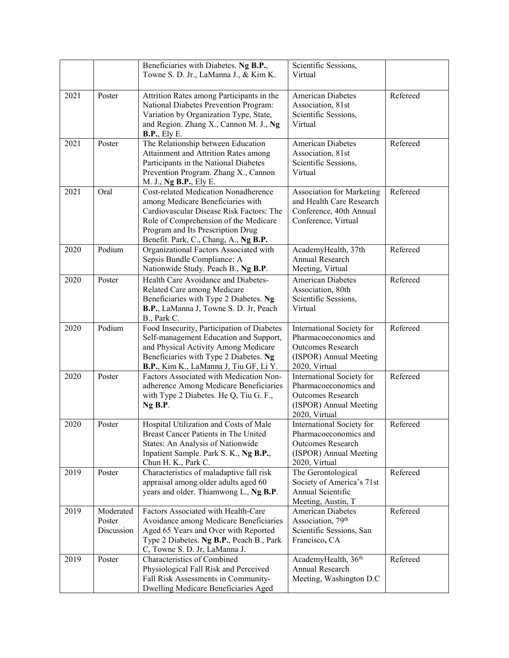|      |                                   | Beneficiaries with Diabetes. Ng B.P.,<br>Towne S. D. Jr., LaManna J., & Kim K.                                                                                                                                                               | Scientific Sessions,<br>Virtual                                                                                            |          |
|------|-----------------------------------|----------------------------------------------------------------------------------------------------------------------------------------------------------------------------------------------------------------------------------------------|----------------------------------------------------------------------------------------------------------------------------|----------|
| 2021 | Poster                            | Attrition Rates among Participants in the<br>National Diabetes Prevention Program:<br>Variation by Organization Type, State,<br>and Region. Zhang X., Cannon M. J., Ng<br><b>B.P.</b> , Ely E.                                               | <b>American Diabetes</b><br>Association, 81st<br>Scientific Sessions,<br>Virtual                                           | Refereed |
| 2021 | Poster                            | The Relationship between Education<br>Attainment and Attrition Rates among<br>Participants in the National Diabetes<br>Prevention Program. Zhang X., Cannon<br>M. J., Ng B.P., Ely E.                                                        | <b>American Diabetes</b><br>Association, 81st<br>Scientific Sessions,<br>Virtual                                           | Refereed |
| 2021 | Oral                              | Cost-related Medication Nonadherence<br>among Medicare Beneficiaries with<br>Cardiovascular Disease Risk Factors: The<br>Role of Comprehension of the Medicare<br>Program and Its Prescription Drug<br>Benefit. Park, C., Chang, A., Ng B.P. | Refereed<br><b>Association for Marketing</b><br>and Health Care Research<br>Conference, 40th Annual<br>Conference, Virtual |          |
| 2020 | Podium                            | Organizational Factors Associated with<br>Sepsis Bundle Compliance: A<br>Nationwide Study. Peach B., Ng B.P.                                                                                                                                 | AcademyHealth, 37th<br>Annual Research<br>Meeting, Virtual                                                                 | Refereed |
| 2020 | Poster                            | Health Care Avoidance and Diabetes-<br>Related Care among Medicare<br>Beneficiaries with Type 2 Diabetes. Ng<br>B.P., LaManna J, Towne S. D. Jr, Peach<br>B., Park C.                                                                        | <b>American Diabetes</b><br>Association, 80th<br>Scientific Sessions,<br>Virtual                                           | Refereed |
| 2020 | Podium                            | Food Insecurity, Participation of Diabetes<br>Self-management Education and Support,<br>and Physical Activity Among Medicare<br>Beneficiaries with Type 2 Diabetes. Ng<br>B.P., Kim K., LaManna J, Tiu GF, Li Y.                             | International Society for<br>Pharmacoeconomics and<br><b>Outcomes Research</b><br>(ISPOR) Annual Meeting<br>2020, Virtual  | Refereed |
| 2020 | Poster                            | Factors Associated with Medication Non-<br>adherence Among Medicare Beneficiaries<br>with Type 2 Diabetes. He Q, Tiu G. F.,<br>Ng B.P.                                                                                                       | International Society for<br>Pharmacoeconomics and<br><b>Outcomes Research</b><br>(ISPOR) Annual Meeting<br>2020, Virtual  | Refereed |
| 2020 | Poster                            | Hospital Utilization and Costs of Male<br>Breast Cancer Patients in The United<br>States: An Analysis of Nationwide<br>Inpatient Sample. Park S. K., Ng B.P.,<br>Chun H. K., Park C.                                                         | International Society for<br>Pharmacoeconomics and<br><b>Outcomes Research</b><br>(ISPOR) Annual Meeting<br>2020, Virtual  | Refereed |
| 2019 | Poster                            | Characteristics of maladaptive fall risk<br>appraisal among older adults aged 60<br>years and older. Thiamwong L., Ng B.P.                                                                                                                   | The Gerontological<br>Society of America's 71st<br>Annual Scientific<br>Meeting, Austin, T                                 | Refereed |
| 2019 | Moderated<br>Poster<br>Discussion | Factors Associated with Health-Care<br>Avoidance among Medicare Beneficiaries<br>Aged 65 Years and Over with Reported<br>Type 2 Diabetes. Ng B.P., Peach B., Park<br>C, Towne S. D. Jr, LaManna J.                                           | <b>American Diabetes</b><br>Association, 79 <sup>th</sup><br>Scientific Sessions, San<br>Francisco, CA                     | Refereed |
| 2019 | Poster                            | Characteristics of Combined<br>Physiological Fall Risk and Perceived<br>Fall Risk Assessments in Community-<br>Dwelling Medicare Beneficiaries Aged                                                                                          | AcademyHealth, 36 <sup>th</sup><br>Annual Research<br>Meeting, Washington D.C                                              | Refereed |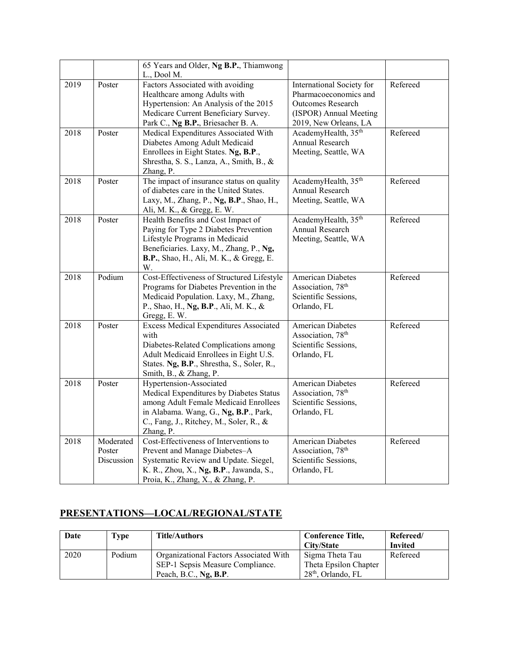|      |                                   | 65 Years and Older, Ng B.P., Thiamwong<br>L., Dool M.                                                                                                                                                           |                                                                                                                                   |          |
|------|-----------------------------------|-----------------------------------------------------------------------------------------------------------------------------------------------------------------------------------------------------------------|-----------------------------------------------------------------------------------------------------------------------------------|----------|
| 2019 | Poster                            | Factors Associated with avoiding<br>Healthcare among Adults with<br>Hypertension: An Analysis of the 2015<br>Medicare Current Beneficiary Survey.<br>Park C., Ng B.P., Briesacher B. A.                         | International Society for<br>Pharmacoeconomics and<br><b>Outcomes Research</b><br>(ISPOR) Annual Meeting<br>2019, New Orleans, LA | Refereed |
| 2018 | Poster                            | Medical Expenditures Associated With<br>Diabetes Among Adult Medicaid<br>Enrollees in Eight States. Ng, B.P.,<br>Shrestha, S. S., Lanza, A., Smith, B., &<br>Zhang, P.                                          | AcademyHealth, 35 <sup>th</sup><br>Annual Research<br>Meeting, Seattle, WA                                                        | Refereed |
| 2018 | Poster                            | The impact of insurance status on quality<br>of diabetes care in the United States.<br>Laxy, M., Zhang, P., Ng, B.P., Shao, H.,<br>Ali, M. K., & Gregg, E. W.                                                   | AcademyHealth, 35 <sup>th</sup><br>Annual Research<br>Meeting, Seattle, WA                                                        | Refereed |
| 2018 | Poster                            | Health Benefits and Cost Impact of<br>Paying for Type 2 Diabetes Prevention<br>Lifestyle Programs in Medicaid<br>Beneficiaries. Laxy, M., Zhang, P., Ng,<br>B.P., Shao, H., Ali, M. K., & Gregg, E.<br>W.       | AcademyHealth, 35 <sup>th</sup><br>Annual Research<br>Meeting, Seattle, WA                                                        | Refereed |
| 2018 | Podium                            | Cost-Effectiveness of Structured Lifestyle<br>Programs for Diabetes Prevention in the<br>Medicaid Population. Laxy, M., Zhang,<br>P., Shao, H., Ng, B.P., Ali, M. K., &<br>Gregg, E. W.                         | <b>American Diabetes</b><br>Association, 78 <sup>th</sup><br>Scientific Sessions,<br>Orlando, FL                                  | Refereed |
| 2018 | Poster                            | <b>Excess Medical Expenditures Associated</b><br>with<br>Diabetes-Related Complications among<br>Adult Medicaid Enrollees in Eight U.S.<br>States. Ng, B.P., Shrestha, S., Soler, R.,<br>Smith, B., & Zhang, P. | <b>American Diabetes</b><br>Association, 78 <sup>th</sup><br>Scientific Sessions,<br>Orlando, FL                                  | Refereed |
| 2018 | Poster                            | Hypertension-Associated<br>Medical Expenditures by Diabetes Status<br>among Adult Female Medicaid Enrollees<br>in Alabama. Wang, G., Ng, B.P., Park,<br>C., Fang, J., Ritchey, M., Soler, R., &<br>Zhang, P.    | <b>American Diabetes</b><br>Association, 78 <sup>th</sup><br>Scientific Sessions,<br>Orlando, FL                                  | Refereed |
| 2018 | Moderated<br>Poster<br>Discussion | Cost-Effectiveness of Interventions to<br>Prevent and Manage Diabetes-A<br>Systematic Review and Update. Siegel,<br>K. R., Zhou, X., Ng, B.P., Jawanda, S.,<br>Proia, K., Zhang, X., & Zhang, P.                | <b>American Diabetes</b><br>Association, 78 <sup>th</sup><br>Scientific Sessions,<br>Orlando, FL                                  | Refereed |

# **PRESENTATIONS—LOCAL/REGIONAL/STATE**

| Date | Type   | <b>Title/Authors</b>                   | <b>Conference Title,</b> | Refereed/      |
|------|--------|----------------------------------------|--------------------------|----------------|
|      |        |                                        | City/State               | <b>Invited</b> |
| 2020 | Podium | Organizational Factors Associated With | Sigma Theta Tau          | Refereed       |
|      |        | SEP-1 Sepsis Measure Compliance.       | Theta Epsilon Chapter    |                |
|      |        | Peach, B.C., $Ng$ , B.P.               | $28th$ , Orlando, FL     |                |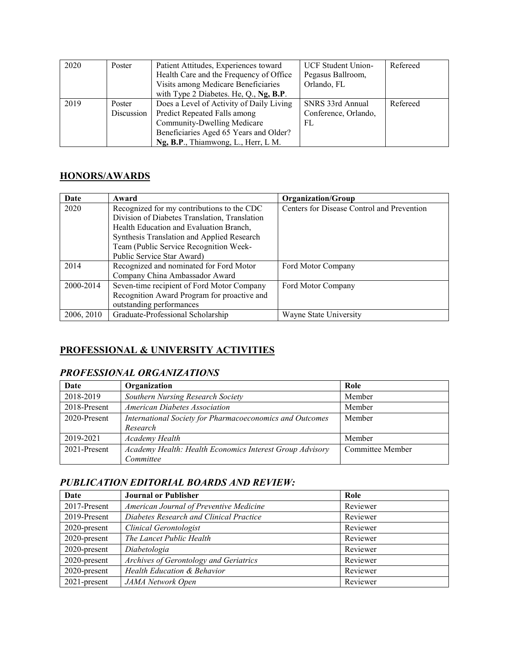| 2020 | Poster     | Patient Attitudes, Experiences toward    | <b>UCF Student Union-</b> | Refereed |
|------|------------|------------------------------------------|---------------------------|----------|
|      |            | Health Care and the Frequency of Office  | Pegasus Ballroom,         |          |
|      |            | Visits among Medicare Beneficiaries      | Orlando, FL               |          |
|      |            | with Type 2 Diabetes. He, Q., Ng, B.P.   |                           |          |
| 2019 | Poster     | Does a Level of Activity of Daily Living | SNRS 33rd Annual          | Refereed |
|      | Discussion | Predict Repeated Falls among             | Conference, Orlando,      |          |
|      |            | Community-Dwelling Medicare              | FL                        |          |
|      |            | Beneficiaries Aged 65 Years and Older?   |                           |          |
|      |            | Ng, B.P., Thiamwong, L., Herr, L M.      |                           |          |

## **HONORS/AWARDS**

| Date       | Award                                         | <b>Organization/Group</b>                  |
|------------|-----------------------------------------------|--------------------------------------------|
| 2020       | Recognized for my contributions to the CDC    | Centers for Disease Control and Prevention |
|            | Division of Diabetes Translation, Translation |                                            |
|            | Health Education and Evaluation Branch,       |                                            |
|            | Synthesis Translation and Applied Research    |                                            |
|            | Team (Public Service Recognition Week-        |                                            |
|            | Public Service Star Award)                    |                                            |
| 2014       | Recognized and nominated for Ford Motor       | Ford Motor Company                         |
|            | Company China Ambassador Award                |                                            |
| 2000-2014  | Seven-time recipient of Ford Motor Company    | Ford Motor Company                         |
|            | Recognition Award Program for proactive and   |                                            |
|            | outstanding performances                      |                                            |
| 2006, 2010 | Graduate-Professional Scholarship             | Wayne State University                     |

# **PROFESSIONAL & UNIVERSITY ACTIVITIES**

## *PROFESSIONAL ORGANIZATIONS*

| Date         | Organization                                             | Role             |
|--------------|----------------------------------------------------------|------------------|
| 2018-2019    | Southern Nursing Research Society                        | Member           |
| 2018-Present | <b>American Diabetes Association</b>                     | Member           |
| 2020-Present | International Society for Pharmacoeconomics and Outcomes | Member           |
|              | Research                                                 |                  |
| 2019-2021    | Academy Health                                           | Member           |
| 2021-Present | Academy Health: Health Economics Interest Group Advisory | Committee Member |
|              | Committee                                                |                  |

# *PUBLICATION EDITORIAL BOARDS AND REVIEW:*

| Date            | <b>Journal or Publisher</b>             | Role     |
|-----------------|-----------------------------------------|----------|
| 2017-Present    | American Journal of Preventive Medicine | Reviewer |
| 2019-Present    | Diabetes Research and Clinical Practice | Reviewer |
| 2020-present    | Clinical Gerontologist                  | Reviewer |
| 2020-present    | The Lancet Public Health                | Reviewer |
| 2020-present    | Diabetologia                            | Reviewer |
| 2020-present    | Archives of Gerontology and Geriatrics  | Reviewer |
| 2020-present    | Health Education & Behavior             | Reviewer |
| $2021$ -present | JAMA Network Open                       | Reviewer |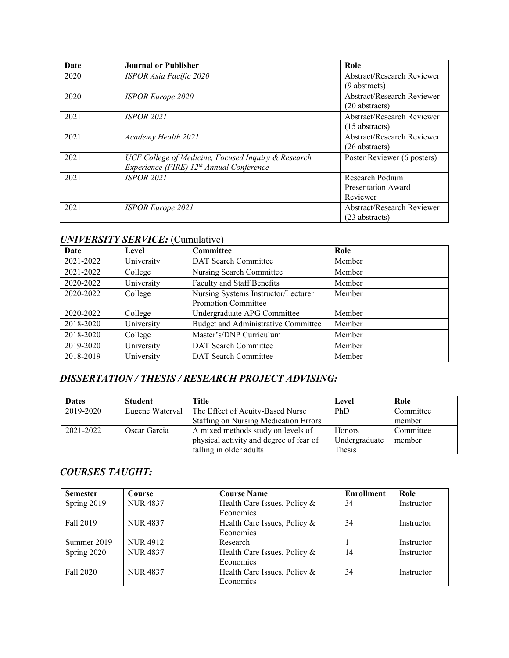| Date | <b>Journal or Publisher</b>                                                                                 | Role                                                  |
|------|-------------------------------------------------------------------------------------------------------------|-------------------------------------------------------|
| 2020 | ISPOR Asia Pacific 2020                                                                                     | <b>Abstract/Research Reviewer</b><br>(9 abstracts)    |
| 2020 | <b>ISPOR Europe 2020</b>                                                                                    | <b>Abstract/Research Reviewer</b><br>$(20$ abstracts) |
| 2021 | <b>ISPOR 2021</b>                                                                                           | Abstract/Research Reviewer<br>$(15$ abstracts)        |
| 2021 | Academy Health 2021                                                                                         | Abstract/Research Reviewer<br>(26 abstracts)          |
| 2021 | UCF College of Medicine, Focused Inquiry & Research<br>Experience (FIRE) 12 <sup>th</sup> Annual Conference | Poster Reviewer (6 posters)                           |
| 2021 | <b>ISPOR 2021</b>                                                                                           | Research Podium<br>Presentation Award<br>Reviewer     |
| 2021 | <b>ISPOR Europe 2021</b>                                                                                    | <b>Abstract/Research Reviewer</b><br>(23 abstracts)   |

# *UNIVERSITY SERVICE:* (Cumulative)

| Date      | Level      | Committee                                                         | Role   |
|-----------|------------|-------------------------------------------------------------------|--------|
| 2021-2022 | University | DAT Search Committee                                              | Member |
| 2021-2022 | College    | Nursing Search Committee                                          | Member |
| 2020-2022 | University | Faculty and Staff Benefits                                        | Member |
| 2020-2022 | College    | Nursing Systems Instructor/Lecturer<br><b>Promotion Committee</b> | Member |
| 2020-2022 | College    | Undergraduate APG Committee                                       | Member |
| 2018-2020 | University | Budget and Administrative Committee                               | Member |
| 2018-2020 | College    | Master's/DNP Curriculum                                           | Member |
| 2019-2020 | University | DAT Search Committee                                              | Member |
| 2018-2019 | University | DAT Search Committee                                              | Member |

# *DISSERTATION / THESIS / RESEARCH PROJECT ADVISING:*

| <b>Dates</b> | <b>Student</b>  | Title                                        | Level         | Role      |
|--------------|-----------------|----------------------------------------------|---------------|-----------|
| 2019-2020    | Eugene Waterval | The Effect of Acuity-Based Nurse             | PhD           | Committee |
|              |                 | <b>Staffing on Nursing Medication Errors</b> |               | member    |
| 2021-2022    | Oscar Garcia    | A mixed methods study on levels of           | <b>Honors</b> | Committee |
|              |                 | physical activity and degree of fear of      | Undergraduate | member    |
|              |                 | falling in older adults                      | Thesis        |           |

# *COURSES TAUGHT:*

| <b>Semester</b> | Course          | <b>Course Name</b>           | <b>Enrollment</b> | Role       |
|-----------------|-----------------|------------------------------|-------------------|------------|
| Spring 2019     | <b>NUR 4837</b> | Health Care Issues, Policy & | 34                | Instructor |
|                 |                 | Economics                    |                   |            |
| Fall 2019       | <b>NUR4837</b>  | Health Care Issues, Policy & | 34                | Instructor |
|                 |                 | Economics                    |                   |            |
| Summer 2019     | <b>NUR4912</b>  | Research                     |                   | Instructor |
| Spring 2020     | <b>NUR 4837</b> | Health Care Issues, Policy & | 14                | Instructor |
|                 |                 | Economics                    |                   |            |
| Fall 2020       | <b>NUR 4837</b> | Health Care Issues, Policy & | 34                | Instructor |
|                 |                 | Economics                    |                   |            |